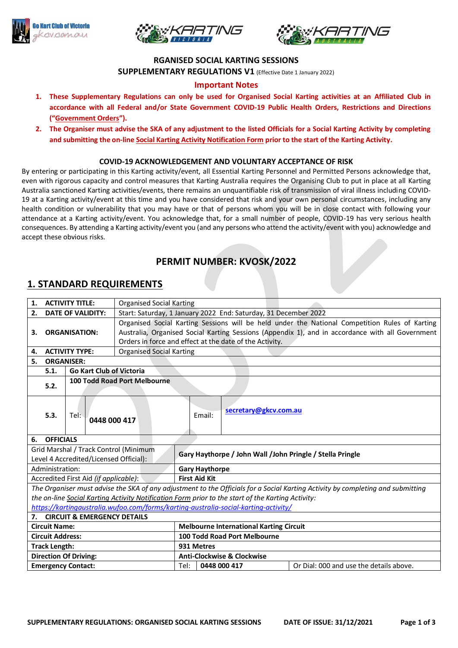





### **RGANISED SOCIAL KARTING SESSIONS**

**SUPPLEMENTARY REGULATIONS V1** (Effective Date 1 January 2022)

## **Important Notes**

- **1. These Supplementary Regulations can only be used for Organised Social Karting activities at an Affiliated Club in accordance with all Federal and/or State Government COVID-19 Public Health Orders, Restrictions and Directions ("Government Orders").**
- **2. The Organiser must advise the SKA of any adjustment to the listed Officials for a Social Karting Activity by completing and submitting the on-line Social Karting Activity Notification Form prior to the start of the Karting Activity.**

### **COVID-19 ACKNOWLEDGEMENT AND VOLUNTARY ACCEPTANCE OF RISK**

By entering or participating in this Karting activity/event, all Essential Karting Personnel and Permitted Persons acknowledge that, even with rigorous capacity and control measures that Karting Australia requires the Organising Club to put in place at all Karting Australia sanctioned Karting activities/events, there remains an unquantifiable risk of transmission of viral illness including COVID-19 at a Karting activity/event at this time and you have considered that risk and your own personal circumstances, including any health condition or vulnerability that you may have or that of persons whom you will be in close contact with following your attendance at a Karting activity/event. You acknowledge that, for a small number of people, COVID-19 has very serious health consequences. By attending a Karting activity/event you (and any persons who attend the activity/event with you) acknowledge and accept these obvious risks.

# **PERMIT NUMBER: KVOSK/2022**

## **1. STANDARD REQUIREMENTS**

| <b>ACTIVITY TITLE:</b><br>1.                                                    |                                                                                                                                                                                                                                      |                                     |              | <b>Organised Social Karting</b>                                                                  |              |                                                                 |                                         |  |
|---------------------------------------------------------------------------------|--------------------------------------------------------------------------------------------------------------------------------------------------------------------------------------------------------------------------------------|-------------------------------------|--------------|--------------------------------------------------------------------------------------------------|--------------|-----------------------------------------------------------------|-----------------------------------------|--|
| <b>DATE OF VALIDITY:</b><br>2.                                                  |                                                                                                                                                                                                                                      |                                     |              |                                                                                                  |              | Start: Saturday, 1 January 2022 End: Saturday, 31 December 2022 |                                         |  |
|                                                                                 |                                                                                                                                                                                                                                      |                                     |              | Organised Social Karting Sessions will be held under the National Competition Rules of Karting   |              |                                                                 |                                         |  |
| 3.                                                                              | <b>ORGANISATION:</b>                                                                                                                                                                                                                 |                                     |              | Australia, Organised Social Karting Sessions (Appendix 1), and in accordance with all Government |              |                                                                 |                                         |  |
|                                                                                 |                                                                                                                                                                                                                                      |                                     |              | Orders in force and effect at the date of the Activity.                                          |              |                                                                 |                                         |  |
| 4.                                                                              | <b>ACTIVITY TYPE:</b>                                                                                                                                                                                                                |                                     |              | <b>Organised Social Karting</b>                                                                  |              |                                                                 |                                         |  |
| 5.<br><b>ORGANISER:</b>                                                         |                                                                                                                                                                                                                                      |                                     |              |                                                                                                  |              |                                                                 |                                         |  |
|                                                                                 | Go Kart Club of Victoria<br>5.1.                                                                                                                                                                                                     |                                     |              |                                                                                                  |              |                                                                 |                                         |  |
|                                                                                 | 5.2.                                                                                                                                                                                                                                 | <b>100 Todd Road Port Melbourne</b> |              |                                                                                                  |              |                                                                 |                                         |  |
|                                                                                 | 5.3.                                                                                                                                                                                                                                 | Tel:                                | 0448 000 417 |                                                                                                  |              | Email:                                                          | secretary@gkcv.com.au                   |  |
| 6.                                                                              | <b>OFFICIALS</b>                                                                                                                                                                                                                     |                                     |              |                                                                                                  |              |                                                                 |                                         |  |
| Grid Marshal / Track Control (Minimum<br>Level 4 Accredited/Licensed Official): |                                                                                                                                                                                                                                      |                                     |              | Gary Haythorpe / John Wall / John Pringle / Stella Pringle                                       |              |                                                                 |                                         |  |
| Administration:                                                                 |                                                                                                                                                                                                                                      |                                     |              | <b>Gary Haythorpe</b>                                                                            |              |                                                                 |                                         |  |
| Accredited First Aid (if applicable):                                           |                                                                                                                                                                                                                                      |                                     |              | <b>First Aid Kit</b>                                                                             |              |                                                                 |                                         |  |
|                                                                                 | The Organiser must advise the SKA of any adjustment to the Officials for a Social Karting Activity by completing and submitting<br>the on-line Social Karting Activity Notification Form prior to the start of the Karting Activity: |                                     |              |                                                                                                  |              |                                                                 |                                         |  |
|                                                                                 | https://kartingaustralia.wufoo.com/forms/karting-australia-social-karting-activity/                                                                                                                                                  |                                     |              |                                                                                                  |              |                                                                 |                                         |  |
|                                                                                 | <b>CIRCUIT &amp; EMERGENCY DETAILS</b><br>7.                                                                                                                                                                                         |                                     |              |                                                                                                  |              |                                                                 |                                         |  |
| <b>Circuit Name:</b>                                                            |                                                                                                                                                                                                                                      |                                     |              | <b>Melbourne International Karting Circuit</b>                                                   |              |                                                                 |                                         |  |
| <b>Circuit Address:</b>                                                         |                                                                                                                                                                                                                                      |                                     |              | 100 Todd Road Port Melbourne                                                                     |              |                                                                 |                                         |  |
| <b>Track Length:</b>                                                            |                                                                                                                                                                                                                                      |                                     |              | 931 Metres                                                                                       |              |                                                                 |                                         |  |
| <b>Direction Of Driving:</b>                                                    |                                                                                                                                                                                                                                      |                                     |              | <b>Anti-Clockwise &amp; Clockwise</b>                                                            |              |                                                                 |                                         |  |
| <b>Emergency Contact:</b>                                                       |                                                                                                                                                                                                                                      |                                     |              | Tel:                                                                                             | 0448 000 417 |                                                                 | Or Dial: 000 and use the details above. |  |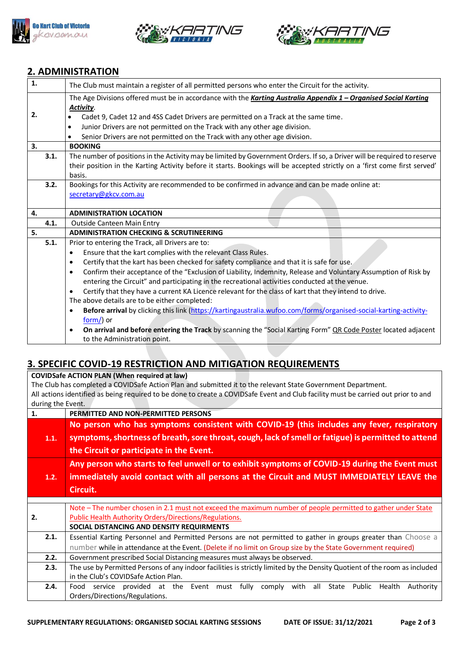





## **2. ADMINISTRATION**

| 1. |      | The Club must maintain a register of all permitted persons who enter the Circuit for the activity.                           |  |  |  |
|----|------|------------------------------------------------------------------------------------------------------------------------------|--|--|--|
|    |      | The Age Divisions offered must be in accordance with the Karting Australia Appendix 1 - Organised Social Karting             |  |  |  |
|    |      | Activity.                                                                                                                    |  |  |  |
| 2. |      | Cadet 9, Cadet 12 and 4SS Cadet Drivers are permitted on a Track at the same time.                                           |  |  |  |
|    |      | Junior Drivers are not permitted on the Track with any other age division.<br>$\bullet$                                      |  |  |  |
|    |      | Senior Drivers are not permitted on the Track with any other age division.                                                   |  |  |  |
| 3. |      | <b>BOOKING</b>                                                                                                               |  |  |  |
|    | 3.1. | The number of positions in the Activity may be limited by Government Orders. If so, a Driver will be required to reserve     |  |  |  |
|    |      | their position in the Karting Activity before it starts. Bookings will be accepted strictly on a 'first come first served'   |  |  |  |
|    |      | basis.                                                                                                                       |  |  |  |
|    | 3.2. | Bookings for this Activity are recommended to be confirmed in advance and can be made online at:                             |  |  |  |
|    |      | secretary@gkcv.com.au                                                                                                        |  |  |  |
|    |      |                                                                                                                              |  |  |  |
| 4. |      | <b>ADMINISTRATION LOCATION</b>                                                                                               |  |  |  |
|    | 4.1. | <b>Outside Canteen Main Entry</b>                                                                                            |  |  |  |
| 5. |      | <b>ADMINISTRATION CHECKING &amp; SCRUTINEERING</b>                                                                           |  |  |  |
|    | 5.1. | Prior to entering the Track, all Drivers are to:                                                                             |  |  |  |
|    |      | Ensure that the kart complies with the relevant Class Rules.<br>$\bullet$                                                    |  |  |  |
|    |      | Certify that the kart has been checked for safety compliance and that it is safe for use.<br>$\bullet$                       |  |  |  |
|    |      | Confirm their acceptance of the "Exclusion of Liability, Indemnity, Release and Voluntary Assumption of Risk by<br>$\bullet$ |  |  |  |
|    |      | entering the Circuit" and participating in the recreational activities conducted at the venue.                               |  |  |  |
|    |      | Certify that they have a current KA Licence relevant for the class of kart that they intend to drive.<br>$\bullet$           |  |  |  |
|    |      | The above details are to be either completed:                                                                                |  |  |  |
|    |      | Before arrival by clicking this link (https://kartingaustralia.wufoo.com/forms/organised-social-karting-activity-<br>٠       |  |  |  |
|    |      | $form$ ) or                                                                                                                  |  |  |  |
|    |      | On arrival and before entering the Track by scanning the "Social Karting Form" QR Code Poster located adjacent               |  |  |  |
|    |      | to the Administration point.                                                                                                 |  |  |  |

# **3. SPECIFIC COVID-19 RESTRICTION AND MITIGATION REQUIREMENTS**

**COVIDSafe ACTION PLAN (When required at law)**

The Club has completed a COVIDSafe Action Plan and submitted it to the relevant State Government Department. All actions identified as being required to be done to create a COVIDSafe Event and Club facility must be carried out prior to and during the Event.

| 1.   | PERMITTED AND NON-PERMITTED PERSONS                                                                                       |  |  |  |  |
|------|---------------------------------------------------------------------------------------------------------------------------|--|--|--|--|
|      | No person who has symptoms consistent with COVID-19 (this includes any fever, respiratory                                 |  |  |  |  |
| 1.1. | symptoms, shortness of breath, sore throat, cough, lack of smell or fatigue) is permitted to attend                       |  |  |  |  |
|      | the Circuit or participate in the Event.                                                                                  |  |  |  |  |
|      | Any person who starts to feel unwell or to exhibit symptoms of COVID-19 during the Event must                             |  |  |  |  |
| 1.2. | immediately avoid contact with all persons at the Circuit and MUST IMMEDIATELY LEAVE the                                  |  |  |  |  |
|      | Circuit.                                                                                                                  |  |  |  |  |
|      |                                                                                                                           |  |  |  |  |
|      | Note - The number chosen in 2.1 must not exceed the maximum number of people permitted to gather under State              |  |  |  |  |
| 2.   | Public Health Authority Orders/Directions/Regulations.                                                                    |  |  |  |  |
|      | SOCIAL DISTANCING AND DENSITY REQUIRMENTS                                                                                 |  |  |  |  |
| 2.1. | Essential Karting Personnel and Permitted Persons are not permitted to gather in groups greater than Choose a             |  |  |  |  |
|      | number while in attendance at the Event. (Delete if no limit on Group size by the State Government required)              |  |  |  |  |
| 2.2. | Government prescribed Social Distancing measures must always be observed.                                                 |  |  |  |  |
| 2.3. | The use by Permitted Persons of any indoor facilities is strictly limited by the Density Quotient of the room as included |  |  |  |  |
|      | in the Club's COVIDSafe Action Plan.                                                                                      |  |  |  |  |
| 2.4. | service provided at the Event must fully comply<br>with all State Public<br>Health<br>Authority<br>Food                   |  |  |  |  |
|      | Orders/Directions/Regulations.                                                                                            |  |  |  |  |
|      |                                                                                                                           |  |  |  |  |